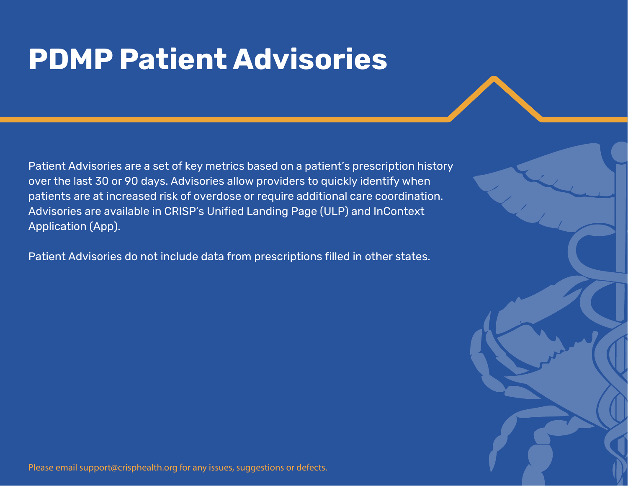# **PDMP Patient Advisories**

Patient Advisories are a set of key metrics based on a patient's prescription history over the last 30 or 90 days. Advisories allow providers to quickly identify when patients are at increased risk of overdose or require additional care coordination. Advisories are available in CRISP's Unified Landing Page (ULP) and InContext Application (App).

Patient Advisories do not include data from prescriptions filled in other states.

Please email support@crisphealth.org for any issues, suggestions or defects.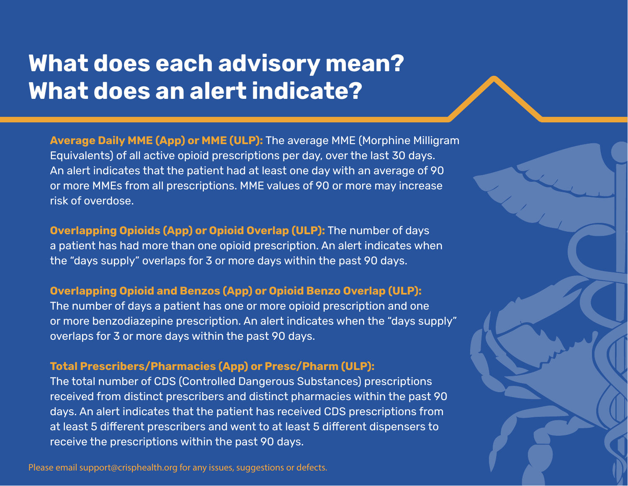## **What does each advisory mean? What does an alert indicate?**

**Average Daily MME (App) or MME (ULP):** The average MME (Morphine Milligram Equivalents) of all active opioid prescriptions per day, over the last 30 days. An alert indicates that the patient had at least one day with an average of 90 or more MMEs from all prescriptions. MME values of 90 or more may increase risk of overdose.

**Overlapping Opioids (App) or Opioid Overlap (ULP):** The number of days a patient has had more than one opioid prescription. An alert indicates when the "days supply" overlaps for 3 or more days within the past 90 days.

## **Overlapping Opioid and Benzos (App) or Opioid Benzo Overlap (ULP):**

The number of days a patient has one or more opioid prescription and one or more benzodiazepine prescription. An alert indicates when the "days supply" overlaps for 3 or more days within the past 90 days.

### **Total Prescribers/Pharmacies (App) or Presc/Pharm (ULP):**

The total number of CDS (Controlled Dangerous Substances) prescriptions received from distinct prescribers and distinct pharmacies within the past 90 days. An alert indicates that the patient has received CDS prescriptions from at least 5 different prescribers and went to at least 5 different dispensers to receive the prescriptions within the past 90 days.

Please email support@crisphealth.org for any issues, suggestions or defects.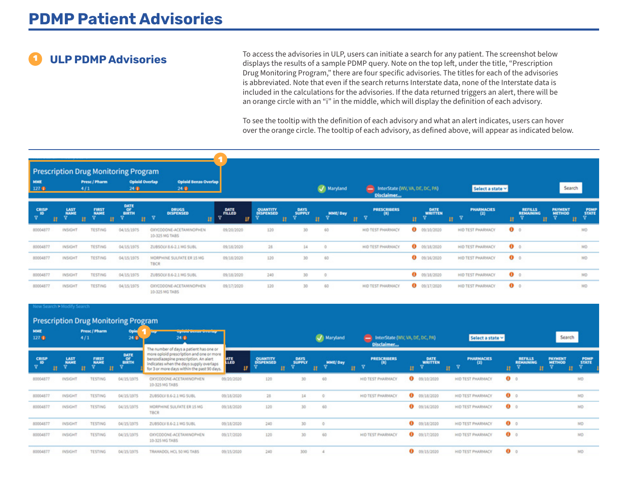To access the advisories in ULP, users can initiate a search for any patient. The screenshot below displays the results of a sample PDMP query. Note on the top left, under the title, "Prescription displays the results of a Drug Monitoring Program," there are four specific advisories. The titles for each of the advisories is abbreviated. Note that even if the search returns Interstate data, none of the Interstate data is included in the calculations for the advisories. If the data returned triggers an alert, there will be an orange circle with an "i" in the middle, which will display the definition of each advisory.

> To see the tooltip with the definition of each advisory and what an alert indicates, users can hover over the orange circle. The tooltip of each advisory, as defined above, will appear as indicated below.

| MME<br>127 <sub>0</sub> | 4/1                           | Presc / Pharm                  | Prescription Drug Monitoring Program<br><b>Opioid Overlap</b><br>24 Q | <b>Opioid Benzo Overlap</b><br>240          |                  |                                    |                      | Maryland             | - InterState (WV, VA, DE, DC, PA)<br>Disclaimer |                                     | Select a state v                      |                                         | Search                        |                     |
|-------------------------|-------------------------------|--------------------------------|-----------------------------------------------------------------------|---------------------------------------------|------------------|------------------------------------|----------------------|----------------------|-------------------------------------------------|-------------------------------------|---------------------------------------|-----------------------------------------|-------------------------------|---------------------|
| CRISP<br>10<br>v.<br>и  | <b>LAST</b><br>NAME<br>v<br>Ħ | <b>FIRST</b><br>NAME<br>v<br>и | DATE<br>BIRTH<br><b>STAR</b>                                          | <b>DRUGS</b><br><b>DISPENSED</b><br>$H - K$ | <b>DATE</b><br>v | <b>QUANTITY</b><br>DISPENSED<br>11 | DAYS<br>SUPPLY<br>v. | <b>MME/Day</b><br>n. | <b>PRESCRIBERS</b><br>(8)<br>N<br>Ħ.            | <b>DATE</b><br><b>WRITTEN</b><br>11 | <b>PHARMACIES</b><br>$(2)$<br>R<br>m. | <b>REFILLS</b><br><b>REMAINING</b><br>n | <b>PAYMENT</b><br>v<br>п<br>и | POMP<br>STATE<br>v. |
| 80004877                | INSIGHT                       | <b>TESTING</b>                 | 04/15/1975                                                            | CXYCODONE-ACETAMINOPHEN<br>10-325 MG TABS   | 09/20/2020       | 120                                | 30                   | 60                   | HID TEST PHARMACY                               | 09/10/2020                          | HID TEST PHARMACY                     | $\bullet$                               |                               | MĎ                  |
| 80004877                | INSIGHT                       | <b>TESTING</b>                 | 04/15/1975                                                            | ZUBSOLV 8.6-2.1 MG SUBL                     | 09/18/2020       | 28.                                | 14                   |                      | HID TEST PHARMACY                               | $0$ 09/18/2020                      | HID TEST PHARMACY                     | $\bullet$ $\circ$                       |                               | MD                  |
| 80004877                | INSIGHT                       | <b>TESTING</b>                 | 04/15/1975                                                            | MORPHINE SULFATE ER 15 MG<br>TBCR           | 09/18/2020       | 120                                | 30                   | 60                   |                                                 | 0<br>09/16/2020                     | HID TEST PHARMACY                     | $\bullet$ $\circ$                       |                               | MD                  |
| 80004877                | INSIGHT                       | <b>TESTING</b>                 | 04/15/1975                                                            | ZUBSOLV 8.6-2.1 MG SUBL                     | 09/18/2020       | 240                                | 30                   |                      |                                                 | 0<br>09/18/2020                     | HID TEST PHARMACY                     | $\bullet$ $\circ$                       |                               | MD                  |
| 80004877                | INSIGHT                       | <b>TESTING</b>                 | 04/15/1975                                                            | OXYCODONE-ACETAMINOPHEN<br>10-325 MG TABS   | 09/17/2020       | 120                                | 30                   | 60                   | HID TEST PHARMACY                               | $0$ 09/17/2020                      | HID TEST PHARMACY                     | $\bullet$                               |                               | MD                  |

### **Prescription Drug Monitoring Program**

| <b>MME</b><br>127 <sub>0</sub>              | $\sim$<br>Presc / Pharm<br>4/1 |                                        | . .<br>Opio<br>240                              | мрония внательностьюр<br>24 0<br>The number of days a patient has one or                                                                                                    |            |                                    |                                |              | InterState (WV, VA, DE, DC, PA)<br>Disclaimer |                                   | Select a state v                    |                                              | Search                                                           |  |
|---------------------------------------------|--------------------------------|----------------------------------------|-------------------------------------------------|-----------------------------------------------------------------------------------------------------------------------------------------------------------------------------|------------|------------------------------------|--------------------------------|--------------|-----------------------------------------------|-----------------------------------|-------------------------------------|----------------------------------------------|------------------------------------------------------------------|--|
| CRISP<br>10<br>$\overline{\mathbf{v}}$<br>Ħ | <b>LAST</b><br>NAME<br>v.<br>и | <b>FIRST</b><br>NAME<br><b>Ta</b><br>n | <b>DATE</b><br>$rac{or}{\text{max} + \epsilon}$ | more opioid prescription and one or more<br>benzodiazepine prescription. An alert<br>indicates when the days supply overlaps<br>for 3 or more days within the past 90 days. | <b>ATE</b> | <b>QUANTITY</b><br>DISPENSED<br>n. | DAYS<br>SUPPLY<br>$\mathbf{U}$ | MME/Day<br>и | <b>PRESCRIBERS</b><br>(3)<br>v<br>n           | DATE<br><b>WRITTEN</b><br>Ħ.<br>m | <b>PHARMACIES</b><br>$^{(2)}$<br>্ব | <b>REFILLS</b><br><b>REMAINING</b><br>n<br>п | <b>PAYMENT</b><br><b>POMP</b><br><b>METHOD</b><br>$\bullet$<br>л |  |
| 80004877                                    | INSIGHT                        | <b>TESTING</b>                         | 04/15/1975                                      | <b>OXYCODONE-ACETAMINOPHEN</b><br>10-325 MG TABS                                                                                                                            | 09/20/2020 | 120                                | 30                             | 60           | HID TEST PHARMACY                             | $\bullet$<br>09/10/2020           | HID TEST PHARMACY                   | $\bullet$                                    | MD                                                               |  |
| 80004877                                    | INSIGHT                        | <b>TESTING</b>                         | 04/15/1975                                      | ZUBSOLV 8.6-2.1 MG SUBL                                                                                                                                                     | 09/18/2020 | 28                                 | 14                             | O            | HID TEST PHARMACY                             | $\bullet$<br>09/18/2020           | HID TEST PHARMACY                   | $\bullet$                                    | MD                                                               |  |
| 80004877                                    | INSIGHT                        | <b>TESTING</b>                         | 04/15/1975                                      | MORPHINE SULFATE ER 15 MG<br><b>TBCR</b>                                                                                                                                    | 09/18/2020 | 120                                | 30                             | 60           |                                               | $\bullet$<br>09/16/2020           | HID TEST PHARMACY                   | $\bullet$ $\circ$                            | MD                                                               |  |
| 80004877                                    | INSIGHT                        | <b>TESTING</b>                         | 04/15/1975                                      | ZUBSOLV 8.6-2.1 MG SUBL                                                                                                                                                     | 09/18/2020 | 240                                | 30                             | $^{\circ}$   |                                               | $\bullet$<br>09/18/2020           | HID TEST PHARMACY                   | $\bullet$                                    | MD                                                               |  |
| 80004877                                    | INSIGHT                        | <b>TESTING</b>                         | 04/15/1975                                      | OXYCODONE-ACETAMINOPHEN<br>10-325 MG TABS                                                                                                                                   | 09/17/2020 | 120                                | 30                             | 60           | HID TEST PHARMACY                             | $\bullet$<br>09/17/2020           | HID TEST PHARMACY                   | $\bullet$                                    | MD                                                               |  |
| 80004877                                    | INSIGHT                        | <b>TESTING</b>                         | 04/15/1975                                      | TRAMADOL HCL 50 MG TABS                                                                                                                                                     | 09/15/2020 | 240                                | 300                            |              |                                               | $\mathbf o$<br>09/15/2020         | HID TEST PHARMACY                   | $\bullet$                                    | MD.                                                              |  |